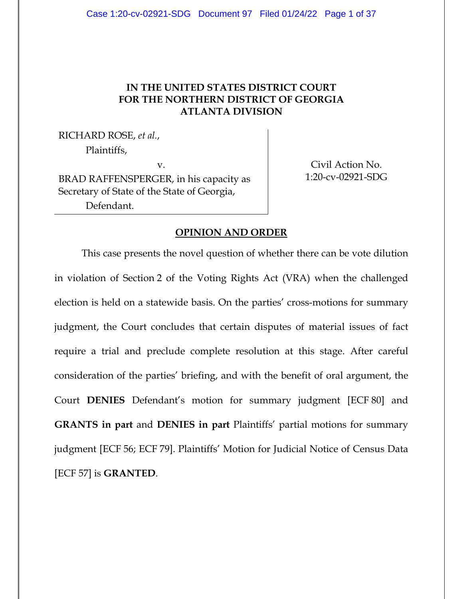# **IN THE UNITED STATES DISTRICT COURT FOR THE NORTHERN DISTRICT OF GEORGIA ATLANTA DIVISION**

RICHARD ROSE, *et al.*, Plaintiffs,

v. BRAD RAFFENSPERGER, in his capacity as Secretary of State of the State of Georgia, Defendant.

Civil Action No. 1:20-cv-02921-SDG

## **OPINION AND ORDER**

This case presents the novel question of whether there can be vote dilution in violation of Section 2 of the Voting Rights Act (VRA) when the challenged election is held on a statewide basis. On the parties' cross-motions for summary judgment, the Court concludes that certain disputes of material issues of fact require a trial and preclude complete resolution at this stage. After careful consideration of the parties' briefing, and with the benefit of oral argument, the Court **DENIES** Defendant's motion for summary judgment [ECF 80] and **GRANTS in part** and **DENIES in part** Plaintiffs' partial motions for summary judgment [ECF 56; ECF 79]. Plaintiffs' Motion for Judicial Notice of Census Data [ECF 57] is **GRANTED**.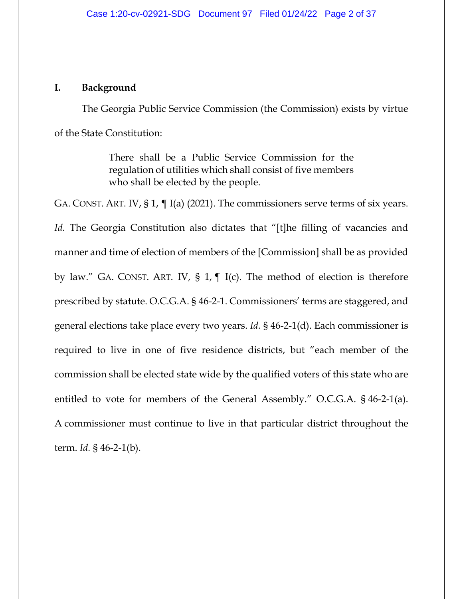## **I. Background**

The Georgia Public Service Commission (the Commission) exists by virtue of the State Constitution:

> There shall be a Public Service Commission for the regulation of utilities which shall consist of five members who shall be elected by the people.

GA. CONST. ART. IV, § 1, ¶ I(a) (2021). The commissioners serve terms of six years. *Id.* The Georgia Constitution also dictates that "[t]he filling of vacancies and manner and time of election of members of the [Commission] shall be as provided by law." GA. CONST. ART. IV, § 1, ¶ I(c). The method of election is therefore prescribed by statute. O.C.G.A. § 46-2-1. Commissioners' terms are staggered, and general elections take place every two years. *Id.* § 46-2-1(d). Each commissioner is required to live in one of five residence districts, but "each member of the commission shall be elected state wide by the qualified voters of this state who are entitled to vote for members of the General Assembly." O.C.G.A. § 46-2-1(a). A commissioner must continue to live in that particular district throughout the term. *Id.* § 46-2-1(b).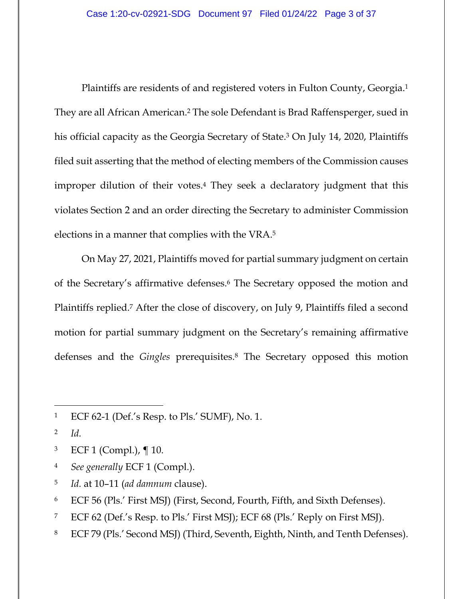Plaintiffs are residents of and registered voters in Fulton County, Georgia.1 They are all African American.2 The sole Defendant is Brad Raffensperger, sued in his official capacity as the Georgia Secretary of State.<sup>3</sup> On July 14, 2020, Plaintiffs filed suit asserting that the method of electing members of the Commission causes improper dilution of their votes.4 They seek a declaratory judgment that this violates Section 2 and an order directing the Secretary to administer Commission elections in a manner that complies with the VRA.5

On May 27, 2021, Plaintiffs moved for partial summary judgment on certain of the Secretary's affirmative defenses.6 The Secretary opposed the motion and Plaintiffs replied.7 After the close of discovery, on July 9, Plaintiffs filed a second motion for partial summary judgment on the Secretary's remaining affirmative defenses and the *Gingles* prerequisites.8 The Secretary opposed this motion

- 3 ECF 1 (Compl.), ¶ 10.
- 4 *See generally* ECF 1 (Compl.).
- 5 *Id.* at 10–11 (*ad damnum* clause).
- 6 ECF 56 (Pls.' First MSJ) (First, Second, Fourth, Fifth, and Sixth Defenses).
- 7 ECF 62 (Def.'s Resp. to Pls.' First MSJ); ECF 68 (Pls.' Reply on First MSJ).
- 8 ECF 79 (Pls.' Second MSJ) (Third, Seventh, Eighth, Ninth, and Tenth Defenses).

<sup>1</sup> ECF 62-1 (Def.'s Resp. to Pls.' SUMF), No. 1.

<sup>2</sup> *Id.*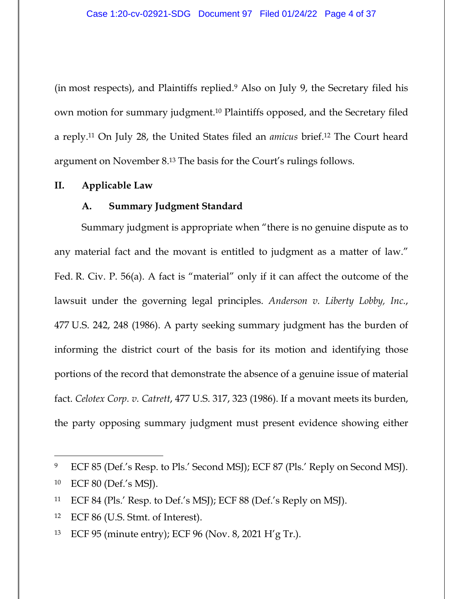(in most respects), and Plaintiffs replied.9 Also on July 9, the Secretary filed his own motion for summary judgment.10 Plaintiffs opposed, and the Secretary filed a reply.11 On July 28, the United States filed an *amicus* brief.12 The Court heard argument on November 8.13 The basis for the Court's rulings follows.

## **II. Applicable Law**

## **A. Summary Judgment Standard**

Summary judgment is appropriate when "there is no genuine dispute as to any material fact and the movant is entitled to judgment as a matter of law." Fed. R. Civ. P. 56(a). A fact is "material" only if it can affect the outcome of the lawsuit under the governing legal principles. *Anderson v. Liberty Lobby, Inc.*, 477 U.S. 242, 248 (1986). A party seeking summary judgment has the burden of informing the district court of the basis for its motion and identifying those portions of the record that demonstrate the absence of a genuine issue of material fact. *Celotex Corp. v. Catrett*, 477 U.S. 317, 323 (1986). If a movant meets its burden, the party opposing summary judgment must present evidence showing either

<sup>9</sup> ECF 85 (Def.'s Resp. to Pls.' Second MSJ); ECF 87 (Pls.' Reply on Second MSJ).

<sup>10</sup> ECF 80 (Def.'s MSJ).

<sup>11</sup> ECF 84 (Pls.' Resp. to Def.'s MSJ); ECF 88 (Def.'s Reply on MSJ).

<sup>12</sup> ECF 86 (U.S. Stmt. of Interest).

<sup>13</sup> ECF 95 (minute entry); ECF 96 (Nov. 8, 2021 H'g Tr.).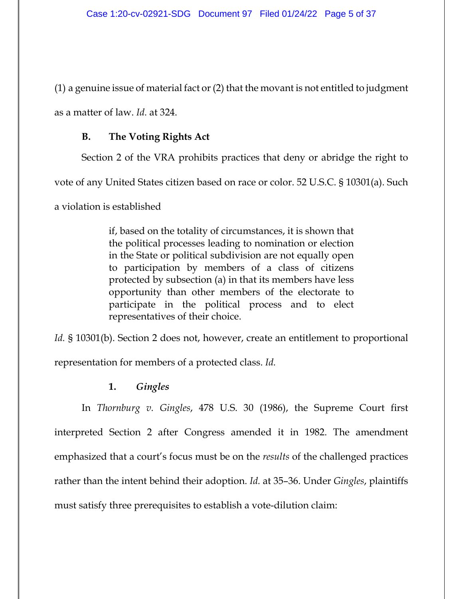(1) a genuine issue of material fact or (2) that the movant is not entitled to judgment as a matter of law. *Id.* at 324.

# **B. The Voting Rights Act**

Section 2 of the VRA prohibits practices that deny or abridge the right to

vote of any United States citizen based on race or color. 52 U.S.C. § 10301(a). Such

a violation is established

if, based on the totality of circumstances, it is shown that the political processes leading to nomination or election in the State or political subdivision are not equally open to participation by members of a class of citizens protected by subsection (a) in that its members have less opportunity than other members of the electorate to participate in the political process and to elect representatives of their choice.

*Id.* § 10301(b). Section 2 does not, however, create an entitlement to proportional representation for members of a protected class. *Id.*

## **1.** *Gingles*

In *Thornburg v. Gingles*, 478 U.S. 30 (1986), the Supreme Court first interpreted Section 2 after Congress amended it in 1982. The amendment emphasized that a court's focus must be on the *results* of the challenged practices rather than the intent behind their adoption. *Id.* at 35–36. Under *Gingles*, plaintiffs must satisfy three prerequisites to establish a vote-dilution claim: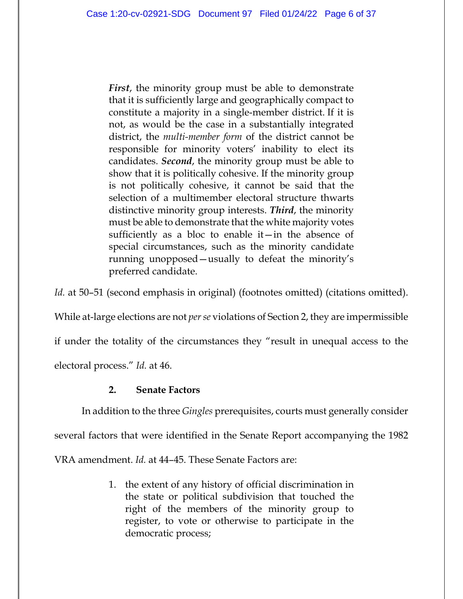*First*, the minority group must be able to demonstrate that it is sufficiently large and geographically compact to constitute a majority in a single-member district. If it is not, as would be the case in a substantially integrated district, the *multi-member form* of the district cannot be responsible for minority voters' inability to elect its candidates. *Second*, the minority group must be able to show that it is politically cohesive. If the minority group is not politically cohesive, it cannot be said that the selection of a multimember electoral structure thwarts distinctive minority group interests. *Third*, the minority must be able to demonstrate that the white majority votes sufficiently as a bloc to enable  $it$ —in the absence of special circumstances, such as the minority candidate running unopposed—usually to defeat the minority's preferred candidate.

*Id.* at 50–51 (second emphasis in original) (footnotes omitted) (citations omitted).

While at-large elections are not *per se* violations of Section 2, they are impermissible

if under the totality of the circumstances they "result in unequal access to the

electoral process." *Id.* at 46.

## **2. Senate Factors**

In addition to the three *Gingles* prerequisites, courts must generally consider

several factors that were identified in the Senate Report accompanying the 1982

VRA amendment. *Id.* at 44–45. These Senate Factors are:

1. the extent of any history of official discrimination in the state or political subdivision that touched the right of the members of the minority group to register, to vote or otherwise to participate in the democratic process;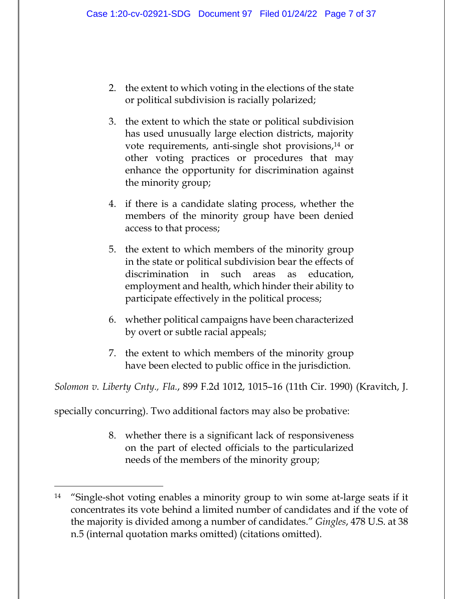- 2. the extent to which voting in the elections of the state or political subdivision is racially polarized;
- 3. the extent to which the state or political subdivision has used unusually large election districts, majority vote requirements, anti-single shot provisions,14 or other voting practices or procedures that may enhance the opportunity for discrimination against the minority group;
- 4. if there is a candidate slating process, whether the members of the minority group have been denied access to that process;
- 5. the extent to which members of the minority group in the state or political subdivision bear the effects of discrimination in such areas as education, employment and health, which hinder their ability to participate effectively in the political process;
- 6. whether political campaigns have been characterized by overt or subtle racial appeals;
- 7. the extent to which members of the minority group have been elected to public office in the jurisdiction.

*Solomon v. Liberty Cnty., Fla.*, 899 F.2d 1012, 1015–16 (11th Cir. 1990) (Kravitch, J.

specially concurring). Two additional factors may also be probative:

8. whether there is a significant lack of responsiveness on the part of elected officials to the particularized needs of the members of the minority group;

<sup>14 &</sup>quot;Single-shot voting enables a minority group to win some at-large seats if it concentrates its vote behind a limited number of candidates and if the vote of the majority is divided among a number of candidates." *Gingles*, 478 U.S. at 38 n.5 (internal quotation marks omitted) (citations omitted).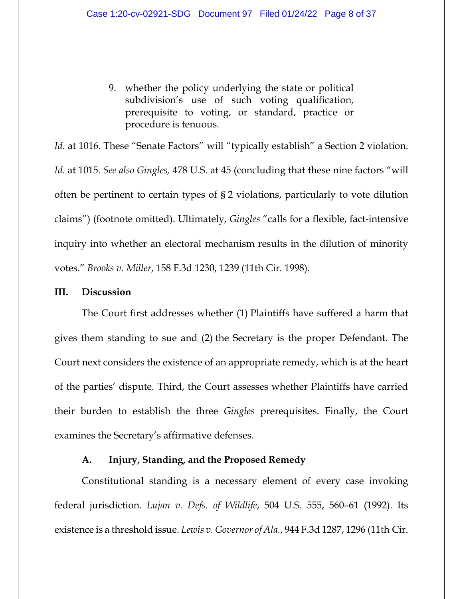9. whether the policy underlying the state or political subdivision's use of such voting qualification, prerequisite to voting, or standard, practice or procedure is tenuous.

Id. at 1016. These "Senate Factors" will "typically establish" a Section 2 violation. *Id.* at 1015. *See also Gingles,* 478 U.S. at 45 (concluding that these nine factors "will often be pertinent to certain types of § 2 violations, particularly to vote dilution claims") (footnote omitted). Ultimately, *Gingles* "calls for a flexible, fact-intensive inquiry into whether an electoral mechanism results in the dilution of minority votes." *Brooks v. Miller*, 158 F.3d 1230, 1239 (11th Cir. 1998).

#### **III. Discussion**

The Court first addresses whether (1) Plaintiffs have suffered a harm that gives them standing to sue and (2) the Secretary is the proper Defendant. The Court next considers the existence of an appropriate remedy, which is at the heart of the parties' dispute. Third, the Court assesses whether Plaintiffs have carried their burden to establish the three *Gingles* prerequisites. Finally, the Court examines the Secretary's affirmative defenses.

## **A. Injury, Standing, and the Proposed Remedy**

Constitutional standing is a necessary element of every case invoking federal jurisdiction. *Lujan v. Defs. of Wildlife*, 504 U.S. 555, 560–61 (1992). Its existence is a threshold issue. *Lewis v. Governor of Ala.*, 944 F.3d 1287, 1296 (11th Cir.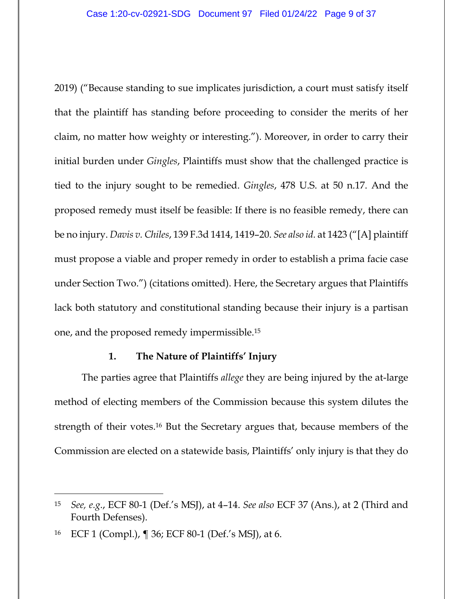2019) ("Because standing to sue implicates jurisdiction, a court must satisfy itself that the plaintiff has standing before proceeding to consider the merits of her claim, no matter how weighty or interesting."). Moreover, in order to carry their initial burden under *Gingles*, Plaintiffs must show that the challenged practice is tied to the injury sought to be remedied. *Gingles*, 478 U.S. at 50 n.17. And the proposed remedy must itself be feasible: If there is no feasible remedy, there can be no injury. *Davis v. Chiles*, 139 F.3d 1414, 1419–20. *See also id.* at 1423 ("[A] plaintiff must propose a viable and proper remedy in order to establish a prima facie case under Section Two.") (citations omitted). Here, the Secretary argues that Plaintiffs lack both statutory and constitutional standing because their injury is a partisan one, and the proposed remedy impermissible.15

### **1. The Nature of Plaintiffs' Injury**

The parties agree that Plaintiffs *allege* they are being injured by the at-large method of electing members of the Commission because this system dilutes the strength of their votes.16 But the Secretary argues that, because members of the Commission are elected on a statewide basis, Plaintiffs' only injury is that they do

<sup>15</sup> *See, e.g.*, ECF 80-1 (Def.'s MSJ), at 4–14. *See also* ECF 37 (Ans.), at 2 (Third and Fourth Defenses).

<sup>16</sup> ECF 1 (Compl.), ¶ 36; ECF 80-1 (Def.'s MSJ), at 6.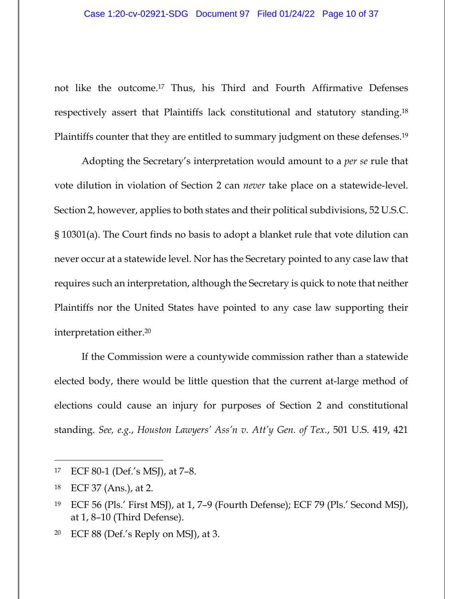not like the outcome.17 Thus, his Third and Fourth Affirmative Defenses respectively assert that Plaintiffs lack constitutional and statutory standing.18 Plaintiffs counter that they are entitled to summary judgment on these defenses.19

Adopting the Secretary's interpretation would amount to a *per se* rule that vote dilution in violation of Section 2 can *never* take place on a statewide-level. Section 2, however, applies to both states and their political subdivisions, 52 U.S.C. § 10301(a). The Court finds no basis to adopt a blanket rule that vote dilution can never occur at a statewide level. Nor has the Secretary pointed to any case law that requires such an interpretation, although the Secretary is quick to note that neither Plaintiffs nor the United States have pointed to any case law supporting their interpretation either.20

If the Commission were a countywide commission rather than a statewide elected body, there would be little question that the current at-large method of elections could cause an injury for purposes of Section 2 and constitutional standing. *See, e.g.*, *Houston Lawyers' Ass'n v. Att'y Gen. of Tex.*, 501 U.S. 419, 421

<sup>20</sup> ECF 88 (Def.'s Reply on MSJ), at 3.

<sup>17</sup> ECF 80-1 (Def.'s MSJ), at 7–8.

<sup>18</sup> ECF 37 (Ans.), at 2.

<sup>19</sup> ECF 56 (Pls.' First MSJ), at 1, 7–9 (Fourth Defense); ECF 79 (Pls.' Second MSJ), at 1, 8–10 (Third Defense).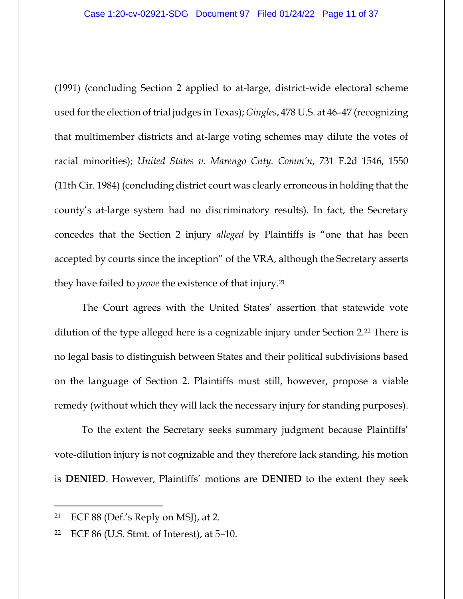(1991) (concluding Section 2 applied to at-large, district-wide electoral scheme used for the election of trial judges in Texas); *Gingles*, 478 U.S. at 46–47 (recognizing that multimember districts and at-large voting schemes may dilute the votes of racial minorities); *United States v. Marengo Cnty. Comm'n*, 731 F.2d 1546, 1550 (11th Cir. 1984) (concluding district court was clearly erroneous in holding that the county's at-large system had no discriminatory results). In fact, the Secretary concedes that the Section 2 injury *alleged* by Plaintiffs is "one that has been accepted by courts since the inception" of the VRA, although the Secretary asserts they have failed to *prove* the existence of that injury.21

The Court agrees with the United States' assertion that statewide vote dilution of the type alleged here is a cognizable injury under Section 2.<sup>22</sup> There is no legal basis to distinguish between States and their political subdivisions based on the language of Section 2. Plaintiffs must still, however, propose a viable remedy (without which they will lack the necessary injury for standing purposes).

To the extent the Secretary seeks summary judgment because Plaintiffs' vote-dilution injury is not cognizable and they therefore lack standing, his motion is **DENIED**. However, Plaintiffs' motions are **DENIED** to the extent they seek

<sup>&</sup>lt;sup>21</sup> ECF 88 (Def.'s Reply on MSJ), at 2.

<sup>22</sup> ECF 86 (U.S. Stmt. of Interest), at 5–10.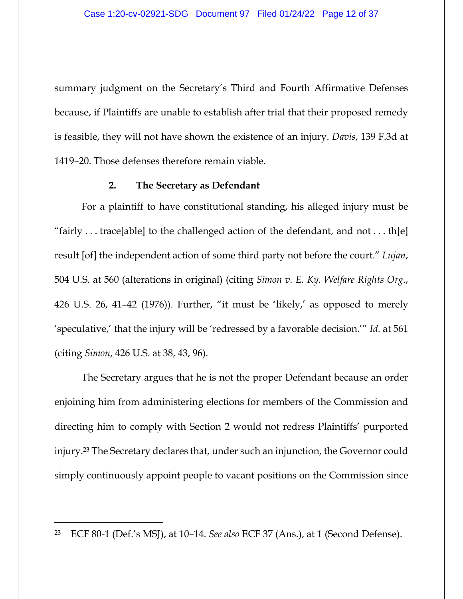summary judgment on the Secretary's Third and Fourth Affirmative Defenses because, if Plaintiffs are unable to establish after trial that their proposed remedy is feasible, they will not have shown the existence of an injury. *Davis*, 139 F.3d at 1419–20. Those defenses therefore remain viable.

#### **2. The Secretary as Defendant**

For a plaintiff to have constitutional standing, his alleged injury must be "fairly . . . trace[able] to the challenged action of the defendant, and not . . . th[e] result [of] the independent action of some third party not before the court." *Lujan*, 504 U.S. at 560 (alterations in original) (citing *Simon v. E. Ky. Welfare Rights Org.*, 426 U.S. 26, 41–42 (1976)). Further, "it must be 'likely,' as opposed to merely 'speculative,' that the injury will be 'redressed by a favorable decision.'" *Id.* at 561 (citing *Simon*, 426 U.S. at 38, 43, 96).

The Secretary argues that he is not the proper Defendant because an order enjoining him from administering elections for members of the Commission and directing him to comply with Section 2 would not redress Plaintiffs' purported injury.23 The Secretary declares that, under such an injunction, the Governor could simply continuously appoint people to vacant positions on the Commission since

<sup>23</sup> ECF 80-1 (Def.'s MSJ), at 10–14. *See also* ECF 37 (Ans.), at 1 (Second Defense).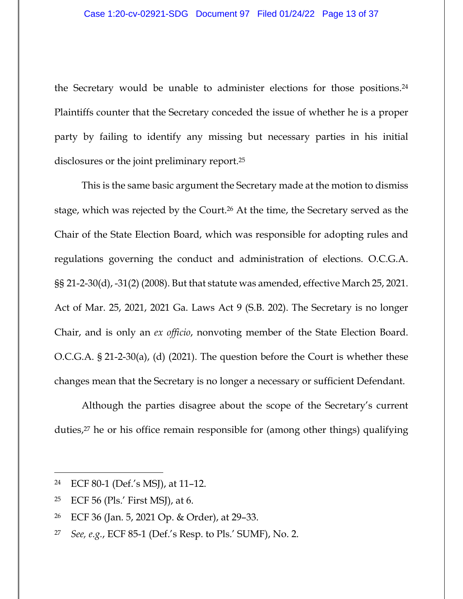the Secretary would be unable to administer elections for those positions.24 Plaintiffs counter that the Secretary conceded the issue of whether he is a proper party by failing to identify any missing but necessary parties in his initial disclosures or the joint preliminary report.25

This is the same basic argument the Secretary made at the motion to dismiss stage, which was rejected by the Court.26 At the time, the Secretary served as the Chair of the State Election Board, which was responsible for adopting rules and regulations governing the conduct and administration of elections. O.C.G.A. §§ 21-2-30(d), -31(2) (2008). But that statute was amended, effective March 25, 2021. Act of Mar. 25, 2021, 2021 Ga. Laws Act 9 (S.B. 202). The Secretary is no longer Chair, and is only an *ex officio*, nonvoting member of the State Election Board. O.C.G.A. § 21-2-30(a), (d) (2021). The question before the Court is whether these changes mean that the Secretary is no longer a necessary or sufficient Defendant.

Although the parties disagree about the scope of the Secretary's current duties,27 he or his office remain responsible for (among other things) qualifying

25 ECF 56 (Pls.' First MSJ), at 6.

<sup>24</sup> ECF 80-1 (Def.'s MSJ), at 11–12.

<sup>26</sup> ECF 36 (Jan. 5, 2021 Op. & Order), at 29–33.

<sup>27</sup> *See, e.g.*, ECF 85-1 (Def.'s Resp. to Pls.' SUMF), No. 2.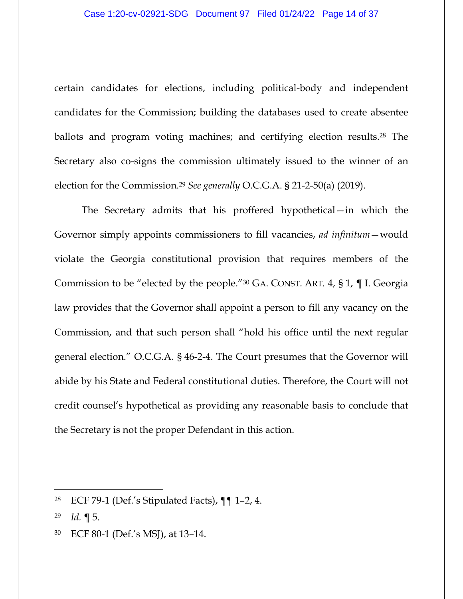certain candidates for elections, including political-body and independent candidates for the Commission; building the databases used to create absentee ballots and program voting machines; and certifying election results.<sup>28</sup> The Secretary also co-signs the commission ultimately issued to the winner of an election for the Commission.29 *See generally* O.C.G.A. § 21-2-50(a) (2019).

The Secretary admits that his proffered hypothetical—in which the Governor simply appoints commissioners to fill vacancies, *ad infinitum*—would violate the Georgia constitutional provision that requires members of the Commission to be "elected by the people."30 GA. CONST. ART. 4, § 1, ¶ I. Georgia law provides that the Governor shall appoint a person to fill any vacancy on the Commission, and that such person shall "hold his office until the next regular general election." O.C.G.A. § 46-2-4. The Court presumes that the Governor will abide by his State and Federal constitutional duties. Therefore, the Court will not credit counsel's hypothetical as providing any reasonable basis to conclude that the Secretary is not the proper Defendant in this action.

<sup>28</sup> ECF 79-1 (Def.'s Stipulated Facts), ¶¶ 1–2, 4.

<sup>29</sup> *Id.* ¶ 5.

<sup>30</sup> ECF 80-1 (Def.'s MSJ), at 13–14.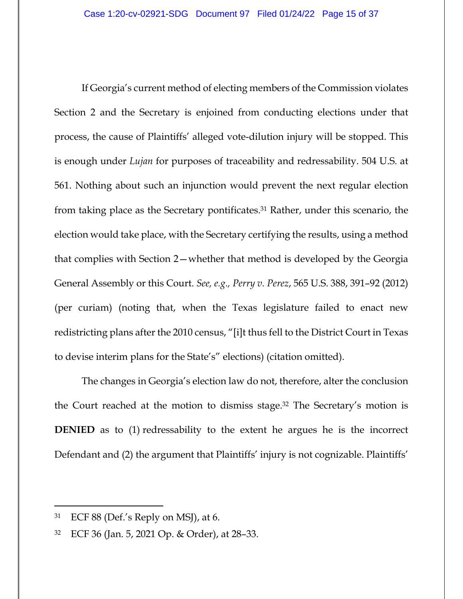If Georgia's current method of electing members of the Commission violates Section 2 and the Secretary is enjoined from conducting elections under that process, the cause of Plaintiffs' alleged vote-dilution injury will be stopped. This is enough under *Lujan* for purposes of traceability and redressability. 504 U.S. at 561. Nothing about such an injunction would prevent the next regular election from taking place as the Secretary pontificates.31 Rather, under this scenario, the election would take place, with the Secretary certifying the results, using a method that complies with Section 2—whether that method is developed by the Georgia General Assembly or this Court. *See, e.g., Perry v. Perez*, 565 U.S. 388, 391–92 (2012) (per curiam) (noting that, when the Texas legislature failed to enact new redistricting plans after the 2010 census, "[i]t thus fell to the District Court in Texas to devise interim plans for the State's" elections) (citation omitted).

The changes in Georgia's election law do not, therefore, alter the conclusion the Court reached at the motion to dismiss stage.32 The Secretary's motion is **DENIED** as to (1) redressability to the extent he argues he is the incorrect Defendant and (2) the argument that Plaintiffs' injury is not cognizable. Plaintiffs'

 $31$  ECF 88 (Def.'s Reply on MSJ), at 6.

<sup>32</sup> ECF 36 (Jan. 5, 2021 Op. & Order), at 28–33.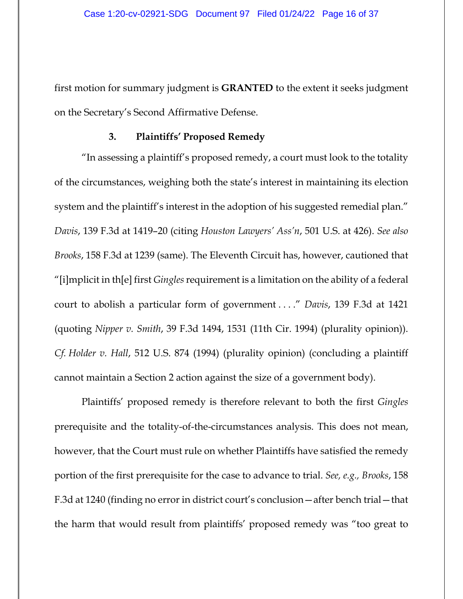first motion for summary judgment is **GRANTED** to the extent it seeks judgment on the Secretary's Second Affirmative Defense.

#### **3. Plaintiffs' Proposed Remedy**

"In assessing a plaintiff's proposed remedy, a court must look to the totality of the circumstances, weighing both the state's interest in maintaining its election system and the plaintiff's interest in the adoption of his suggested remedial plan." *Davis*, 139 F.3d at 1419–20 (citing *Houston Lawyers' Ass'n*, 501 U.S. at 426). *See also Brooks*, 158 F.3d at 1239 (same). The Eleventh Circuit has, however, cautioned that "[i]mplicit in th[e] first *Gingles* requirement is a limitation on the ability of a federal court to abolish a particular form of government . . . ." *Davis*, 139 F.3d at 1421 (quoting *Nipper v. Smith*, 39 F.3d 1494, 1531 (11th Cir. 1994) (plurality opinion)). *Cf. Holder v. Hall*, 512 U.S. 874 (1994) (plurality opinion) (concluding a plaintiff cannot maintain a Section 2 action against the size of a government body).

Plaintiffs' proposed remedy is therefore relevant to both the first *Gingles* prerequisite and the totality-of-the-circumstances analysis. This does not mean, however, that the Court must rule on whether Plaintiffs have satisfied the remedy portion of the first prerequisite for the case to advance to trial. *See, e.g., Brooks*, 158 F.3d at 1240 (finding no error in district court's conclusion—after bench trial—that the harm that would result from plaintiffs' proposed remedy was "too great to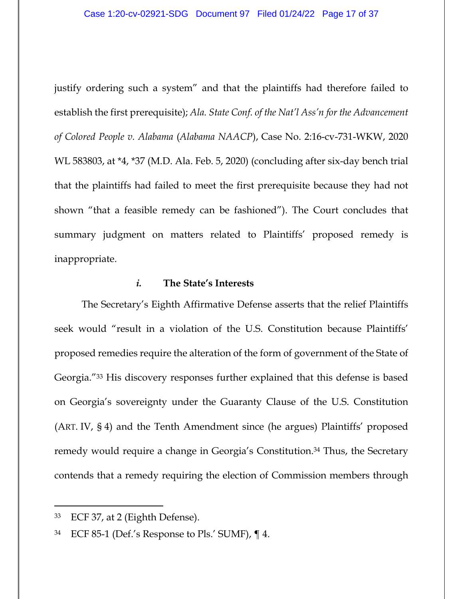justify ordering such a system" and that the plaintiffs had therefore failed to establish the first prerequisite); *Ala. State Conf. of the Nat'l Ass'n for the Advancement of Colored People v. Alabama* (*Alabama NAACP*), Case No. 2:16-cv-731-WKW, 2020 WL 583803, at \*4, \*37 (M.D. Ala. Feb. 5, 2020) (concluding after six-day bench trial that the plaintiffs had failed to meet the first prerequisite because they had not shown "that a feasible remedy can be fashioned"). The Court concludes that summary judgment on matters related to Plaintiffs' proposed remedy is inappropriate.

## *i.* **The State's Interests**

The Secretary's Eighth Affirmative Defense asserts that the relief Plaintiffs seek would "result in a violation of the U.S. Constitution because Plaintiffs' proposed remedies require the alteration of the form of government of the State of Georgia."33 His discovery responses further explained that this defense is based on Georgia's sovereignty under the Guaranty Clause of the U.S. Constitution (ART. IV, § 4) and the Tenth Amendment since (he argues) Plaintiffs' proposed remedy would require a change in Georgia's Constitution.34 Thus, the Secretary contends that a remedy requiring the election of Commission members through

<sup>33</sup> ECF 37, at 2 (Eighth Defense).

 $34$  ECF 85-1 (Def.'s Response to Pls.' SUMF),  $\P$  4.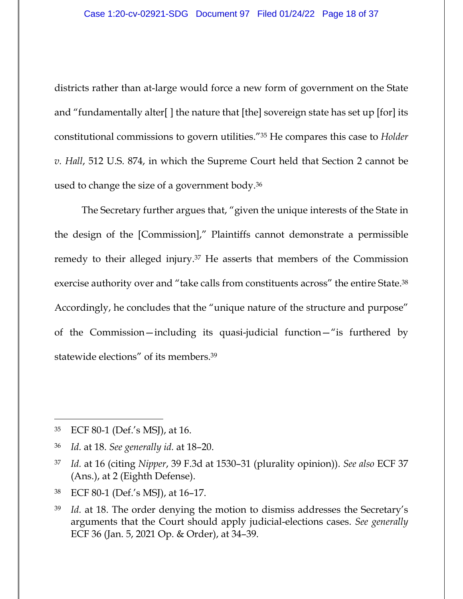districts rather than at-large would force a new form of government on the State and "fundamentally alter[ ] the nature that [the] sovereign state has set up [for] its constitutional commissions to govern utilities."35 He compares this case to *Holder v. Hall*, 512 U.S. 874, in which the Supreme Court held that Section 2 cannot be used to change the size of a government body.36

The Secretary further argues that, "given the unique interests of the State in the design of the [Commission]," Plaintiffs cannot demonstrate a permissible remedy to their alleged injury.37 He asserts that members of the Commission exercise authority over and "take calls from constituents across" the entire State.38 Accordingly, he concludes that the "unique nature of the structure and purpose" of the Commission—including its quasi-judicial function—"is furthered by statewide elections" of its members.39

<sup>35</sup> ECF 80-1 (Def.'s MSJ), at 16.

<sup>36</sup> *Id.* at 18. *See generally id.* at 18–20.

<sup>37</sup> *Id.* at 16 (citing *Nipper*, 39 F.3d at 1530–31 (plurality opinion)). *See also* ECF 37 (Ans.), at 2 (Eighth Defense).

<sup>38</sup> ECF 80-1 (Def.'s MSJ), at 16–17.

<sup>39</sup> *Id.* at 18. The order denying the motion to dismiss addresses the Secretary's arguments that the Court should apply judicial-elections cases. *See generally* ECF 36 (Jan. 5, 2021 Op. & Order), at 34–39.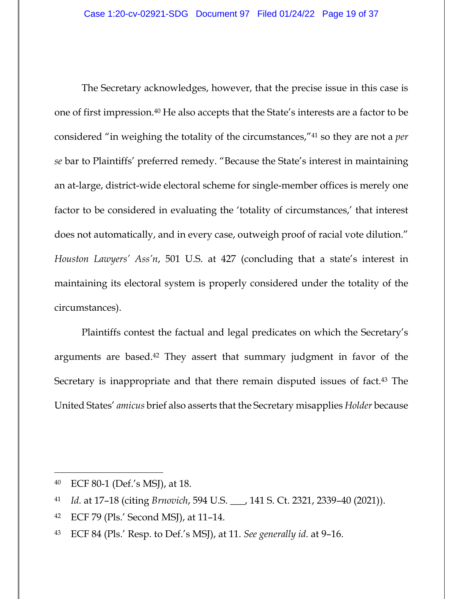The Secretary acknowledges, however, that the precise issue in this case is one of first impression.40 He also accepts that the State's interests are a factor to be considered "in weighing the totality of the circumstances,"41 so they are not a *per se* bar to Plaintiffs' preferred remedy. "Because the State's interest in maintaining an at-large, district-wide electoral scheme for single-member offices is merely one factor to be considered in evaluating the 'totality of circumstances,' that interest does not automatically, and in every case, outweigh proof of racial vote dilution." *Houston Lawyers' Ass'n*, 501 U.S. at 427 (concluding that a state's interest in maintaining its electoral system is properly considered under the totality of the circumstances).

Plaintiffs contest the factual and legal predicates on which the Secretary's arguments are based.42 They assert that summary judgment in favor of the Secretary is inappropriate and that there remain disputed issues of fact.<sup>43</sup> The United States' *amicus* brief also asserts that the Secretary misapplies *Holder* because

42 ECF 79 (Pls.' Second MSJ), at 11–14.

<sup>40</sup> ECF 80-1 (Def.'s MSJ), at 18.

<sup>41</sup> *Id.* at 17–18 (citing *Brnovich*, 594 U.S. \_\_\_, 141 S. Ct. 2321, 2339–40 (2021)).

<sup>43</sup> ECF 84 (Pls.' Resp. to Def.'s MSJ), at 11. *See generally id.* at 9–16.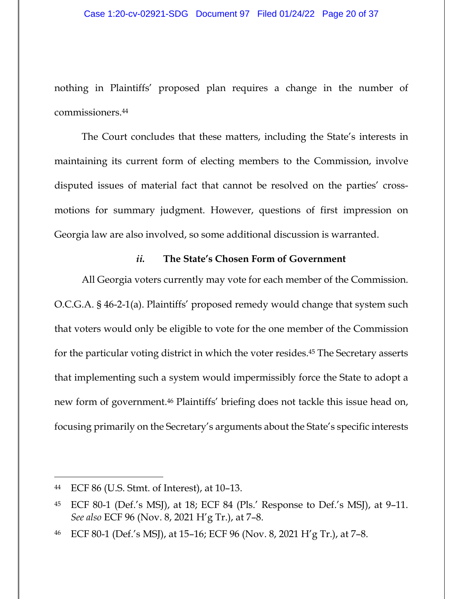nothing in Plaintiffs' proposed plan requires a change in the number of commissioners.44

The Court concludes that these matters, including the State's interests in maintaining its current form of electing members to the Commission, involve disputed issues of material fact that cannot be resolved on the parties' crossmotions for summary judgment. However, questions of first impression on Georgia law are also involved, so some additional discussion is warranted.

## *ii.* **The State's Chosen Form of Government**

All Georgia voters currently may vote for each member of the Commission. O.C.G.A. § 46-2-1(a). Plaintiffs' proposed remedy would change that system such that voters would only be eligible to vote for the one member of the Commission for the particular voting district in which the voter resides.45 The Secretary asserts that implementing such a system would impermissibly force the State to adopt a new form of government.46 Plaintiffs' briefing does not tackle this issue head on, focusing primarily on the Secretary's arguments about the State's specific interests

<sup>44</sup> ECF 86 (U.S. Stmt. of Interest), at 10–13.

<sup>45</sup> ECF 80-1 (Def.'s MSJ), at 18; ECF 84 (Pls.' Response to Def.'s MSJ), at 9–11. *See also* ECF 96 (Nov. 8, 2021 H'g Tr.), at 7–8.

<sup>46</sup> ECF 80-1 (Def.'s MSJ), at 15–16; ECF 96 (Nov. 8, 2021 H'g Tr.), at 7–8.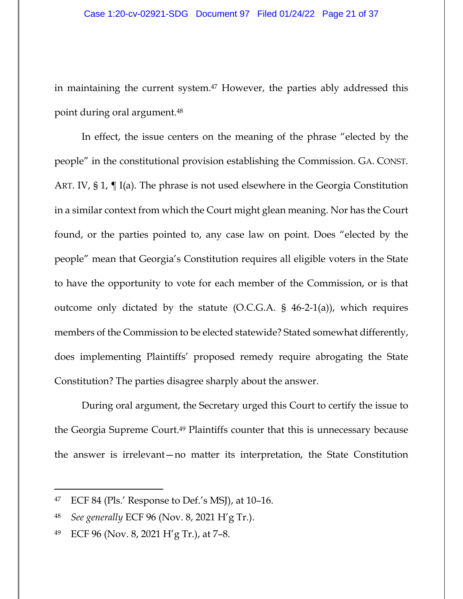in maintaining the current system.47 However, the parties ably addressed this point during oral argument.48

In effect, the issue centers on the meaning of the phrase "elected by the people" in the constitutional provision establishing the Commission. GA. CONST. ART. IV, § 1, ¶ I(a). The phrase is not used elsewhere in the Georgia Constitution in a similar context from which the Court might glean meaning. Nor has the Court found, or the parties pointed to, any case law on point. Does "elected by the people" mean that Georgia's Constitution requires all eligible voters in the State to have the opportunity to vote for each member of the Commission, or is that outcome only dictated by the statute  $(O.C.G.A. § 46-2-1(a))$ , which requires members of the Commission to be elected statewide? Stated somewhat differently, does implementing Plaintiffs' proposed remedy require abrogating the State Constitution? The parties disagree sharply about the answer.

During oral argument, the Secretary urged this Court to certify the issue to the Georgia Supreme Court.49 Plaintiffs counter that this is unnecessary because the answer is irrelevant—no matter its interpretation, the State Constitution

 $47$  ECF 84 (Pls.' Response to Def.'s MSJ), at 10-16.

<sup>48</sup> *See generally* ECF 96 (Nov. 8, 2021 H'g Tr.).

<sup>49</sup> ECF 96 (Nov. 8, 2021 H'g Tr.), at 7–8.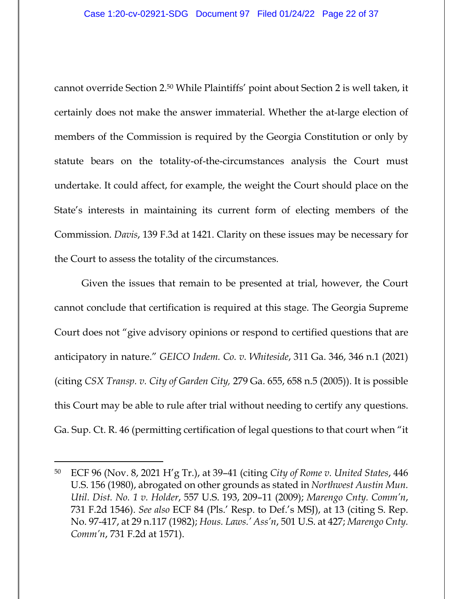cannot override Section 2.50 While Plaintiffs' point about Section 2 is well taken, it certainly does not make the answer immaterial. Whether the at-large election of members of the Commission is required by the Georgia Constitution or only by statute bears on the totality-of-the-circumstances analysis the Court must undertake. It could affect, for example, the weight the Court should place on the State's interests in maintaining its current form of electing members of the Commission. *Davis*, 139 F.3d at 1421. Clarity on these issues may be necessary for the Court to assess the totality of the circumstances.

Given the issues that remain to be presented at trial, however, the Court cannot conclude that certification is required at this stage. The Georgia Supreme Court does not "give advisory opinions or respond to certified questions that are anticipatory in nature." *GEICO Indem. Co. v. Whiteside*, 311 Ga. 346, 346 n.1 (2021) (citing *CSX Transp. v. City of Garden City,* 279 Ga. 655, 658 n.5 (2005)). It is possible this Court may be able to rule after trial without needing to certify any questions. Ga. Sup. Ct. R. 46 (permitting certification of legal questions to that court when "it

<sup>50</sup> ECF 96 (Nov. 8, 2021 H'g Tr.), at 39–41 (citing *City of Rome v. United States*, 446 U.S. 156 (1980), abrogated on other grounds as stated in *Northwest Austin Mun. Util. Dist. No. 1 v. Holder*, 557 U.S. 193, 209–11 (2009); *Marengo Cnty. Comm'n*, 731 F.2d 1546). *See also* ECF 84 (Pls.' Resp. to Def.'s MSJ), at 13 (citing S. Rep. No. 97-417, at 29 n.117 (1982); *Hous. Laws.' Ass'n*, 501 U.S. at 427; *Marengo Cnty. Comm'n*, 731 F.2d at 1571).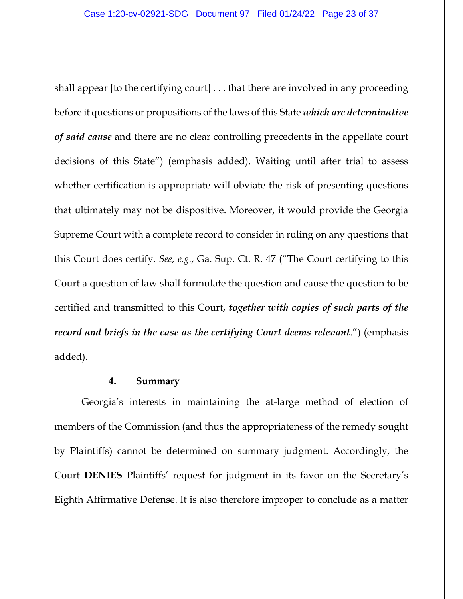shall appear [to the certifying court] . . . that there are involved in any proceeding before it questions or propositions of the laws of this State *which are determinative of said cause* and there are no clear controlling precedents in the appellate court decisions of this State") (emphasis added). Waiting until after trial to assess whether certification is appropriate will obviate the risk of presenting questions that ultimately may not be dispositive. Moreover, it would provide the Georgia Supreme Court with a complete record to consider in ruling on any questions that this Court does certify. *See, e.g.*, Ga. Sup. Ct. R. 47 ("The Court certifying to this Court a question of law shall formulate the question and cause the question to be certified and transmitted to this Court, *together with copies of such parts of the record and briefs in the case as the certifying Court deems relevant*.") (emphasis added).

#### **4. Summary**

Georgia's interests in maintaining the at-large method of election of members of the Commission (and thus the appropriateness of the remedy sought by Plaintiffs) cannot be determined on summary judgment. Accordingly, the Court **DENIES** Plaintiffs' request for judgment in its favor on the Secretary's Eighth Affirmative Defense. It is also therefore improper to conclude as a matter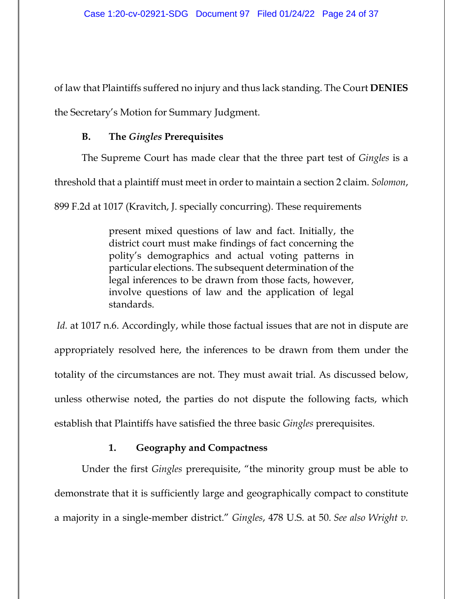of law that Plaintiffs suffered no injury and thus lack standing. The Court **DENIES** the Secretary's Motion for Summary Judgment.

## **B. The** *Gingles* **Prerequisites**

The Supreme Court has made clear that the three part test of *Gingles* is a threshold that a plaintiff must meet in order to maintain a section 2 claim. *Solomon*, 899 F.2d at 1017 (Kravitch, J. specially concurring). These requirements

> present mixed questions of law and fact. Initially, the district court must make findings of fact concerning the polity's demographics and actual voting patterns in particular elections. The subsequent determination of the legal inferences to be drawn from those facts, however, involve questions of law and the application of legal standards.

*Id.* at 1017 n.6. Accordingly, while those factual issues that are not in dispute are appropriately resolved here, the inferences to be drawn from them under the totality of the circumstances are not. They must await trial. As discussed below, unless otherwise noted, the parties do not dispute the following facts, which establish that Plaintiffs have satisfied the three basic *Gingles* prerequisites.

# **1. Geography and Compactness**

Under the first *Gingles* prerequisite, "the minority group must be able to demonstrate that it is sufficiently large and geographically compact to constitute a majority in a single-member district." *Gingles*, 478 U.S. at 50. *See also Wright v.*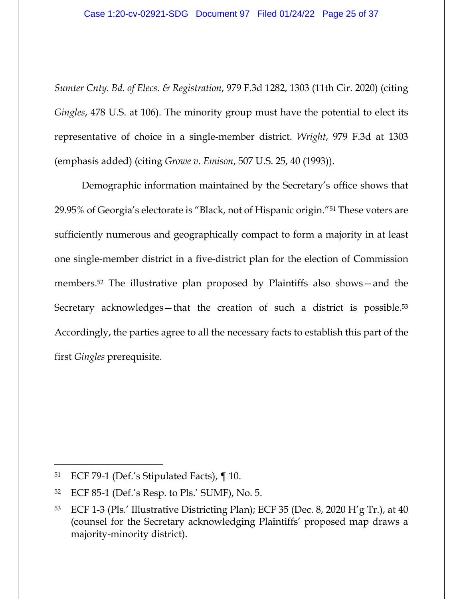*Sumter Cnty. Bd. of Elecs. & Registration*, 979 F.3d 1282, 1303 (11th Cir. 2020) (citing *Gingles*, 478 U.S. at 106). The minority group must have the potential to elect its representative of choice in a single-member district. *Wright*, 979 F.3d at 1303 (emphasis added) (citing *Growe v. Emison*, 507 U.S. 25, 40 (1993)).

Demographic information maintained by the Secretary's office shows that 29.95% of Georgia's electorate is "Black, not of Hispanic origin."51 These voters are sufficiently numerous and geographically compact to form a majority in at least one single-member district in a five-district plan for the election of Commission members.52 The illustrative plan proposed by Plaintiffs also shows—and the Secretary acknowledges—that the creation of such a district is possible.<sup>53</sup> Accordingly, the parties agree to all the necessary facts to establish this part of the first *Gingles* prerequisite.

<sup>51</sup> ECF 79-1 (Def.'s Stipulated Facts), ¶ 10.

<sup>52</sup> ECF 85-1 (Def.'s Resp. to Pls.' SUMF), No. 5.

 $53$  ECF 1-3 (Pls.' Illustrative Districting Plan); ECF 35 (Dec. 8, 2020 H'g Tr.), at 40 (counsel for the Secretary acknowledging Plaintiffs' proposed map draws a majority-minority district).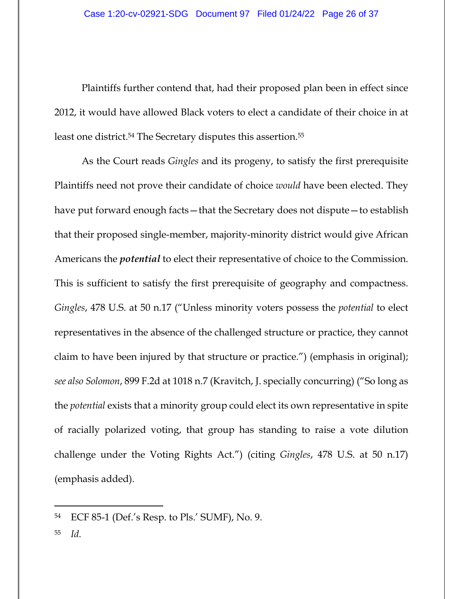Plaintiffs further contend that, had their proposed plan been in effect since 2012, it would have allowed Black voters to elect a candidate of their choice in at least one district.54 The Secretary disputes this assertion.55

As the Court reads *Gingles* and its progeny, to satisfy the first prerequisite Plaintiffs need not prove their candidate of choice *would* have been elected. They have put forward enough facts—that the Secretary does not dispute—to establish that their proposed single-member, majority-minority district would give African Americans the *potential* to elect their representative of choice to the Commission. This is sufficient to satisfy the first prerequisite of geography and compactness. *Gingles*, 478 U.S. at 50 n.17 ("Unless minority voters possess the *potential* to elect representatives in the absence of the challenged structure or practice, they cannot claim to have been injured by that structure or practice.") (emphasis in original); *see also Solomon*, 899 F.2d at 1018 n.7 (Kravitch, J. specially concurring) ("So long as the *potential* exists that a minority group could elect its own representative in spite of racially polarized voting, that group has standing to raise a vote dilution challenge under the Voting Rights Act.") (citing *Gingles*, 478 U.S. at 50 n.17) (emphasis added).

<sup>54</sup> ECF 85-1 (Def.'s Resp. to Pls.' SUMF), No. 9.

<sup>55</sup> *Id.*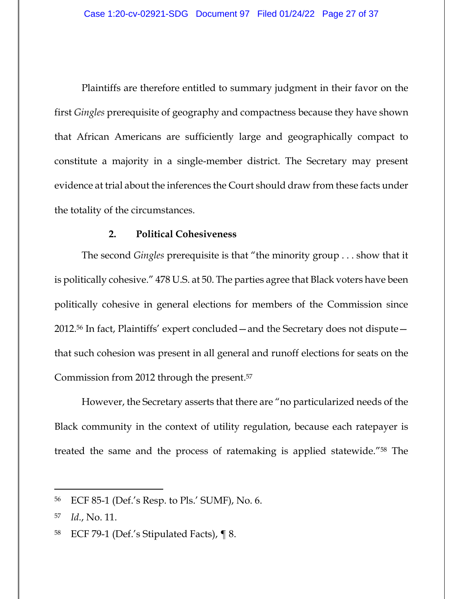Plaintiffs are therefore entitled to summary judgment in their favor on the first *Gingles* prerequisite of geography and compactness because they have shown that African Americans are sufficiently large and geographically compact to constitute a majority in a single-member district. The Secretary may present evidence at trial about the inferences the Court should draw from these facts under the totality of the circumstances.

### **2. Political Cohesiveness**

The second *Gingles* prerequisite is that "the minority group . . . show that it is politically cohesive." 478 U.S. at 50. The parties agree that Black voters have been politically cohesive in general elections for members of the Commission since 2012.56 In fact, Plaintiffs' expert concluded—and the Secretary does not dispute that such cohesion was present in all general and runoff elections for seats on the Commission from 2012 through the present.57

However, the Secretary asserts that there are "no particularized needs of the Black community in the context of utility regulation, because each ratepayer is treated the same and the process of ratemaking is applied statewide."58 The

<sup>56</sup> ECF 85-1 (Def.'s Resp. to Pls.' SUMF), No. 6.

<sup>57</sup> *Id.*, No. 11.

<sup>58</sup> ECF 79-1 (Def.'s Stipulated Facts), ¶ 8.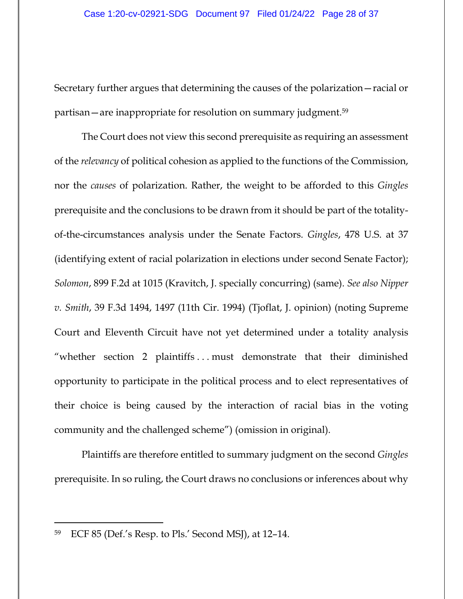Secretary further argues that determining the causes of the polarization—racial or partisan—are inappropriate for resolution on summary judgment.59

The Court does not view this second prerequisite as requiring an assessment of the *relevancy* of political cohesion as applied to the functions of the Commission, nor the *causes* of polarization. Rather, the weight to be afforded to this *Gingles* prerequisite and the conclusions to be drawn from it should be part of the totalityof-the-circumstances analysis under the Senate Factors. *Gingles*, 478 U.S. at 37 (identifying extent of racial polarization in elections under second Senate Factor); *Solomon*, 899 F.2d at 1015 (Kravitch, J. specially concurring) (same). *See also Nipper v. Smith*, 39 F.3d 1494, 1497 (11th Cir. 1994) (Tjoflat, J. opinion) (noting Supreme Court and Eleventh Circuit have not yet determined under a totality analysis "whether section 2 plaintiffs . . . must demonstrate that their diminished opportunity to participate in the political process and to elect representatives of their choice is being caused by the interaction of racial bias in the voting community and the challenged scheme") (omission in original).

Plaintiffs are therefore entitled to summary judgment on the second *Gingles* prerequisite. In so ruling, the Court draws no conclusions or inferences about why

<sup>59</sup> ECF 85 (Def.'s Resp. to Pls.' Second MSJ), at 12–14.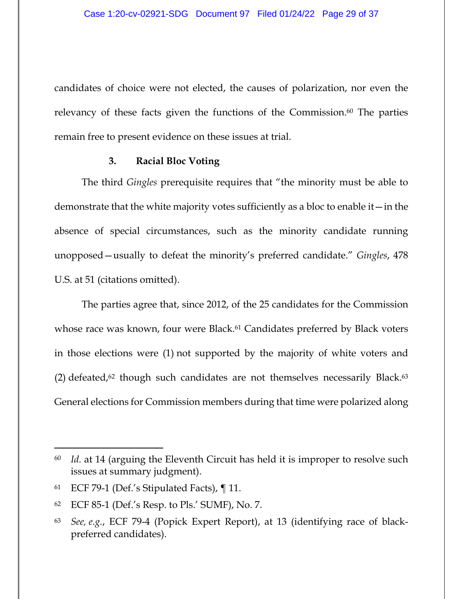candidates of choice were not elected, the causes of polarization, nor even the relevancy of these facts given the functions of the Commission.<sup>60</sup> The parties remain free to present evidence on these issues at trial.

#### **3. Racial Bloc Voting**

The third *Gingles* prerequisite requires that "the minority must be able to demonstrate that the white majority votes sufficiently as a bloc to enable it—in the absence of special circumstances, such as the minority candidate running unopposed—usually to defeat the minority's preferred candidate." *Gingles*, 478 U.S. at 51 (citations omitted).

The parties agree that, since 2012, of the 25 candidates for the Commission whose race was known, four were Black.<sup>61</sup> Candidates preferred by Black voters in those elections were (1) not supported by the majority of white voters and (2) defeated, $62$  though such candidates are not themselves necessarily Black. $63$ General elections for Commission members during that time were polarized along

<sup>60</sup> *Id.* at 14 (arguing the Eleventh Circuit has held it is improper to resolve such issues at summary judgment).

<sup>61</sup> ECF 79-1 (Def.'s Stipulated Facts), ¶ 11.

<sup>62</sup> ECF 85-1 (Def.'s Resp. to Pls.' SUMF), No. 7.

<sup>63</sup> *See, e.g.*, ECF 79-4 (Popick Expert Report), at 13 (identifying race of blackpreferred candidates).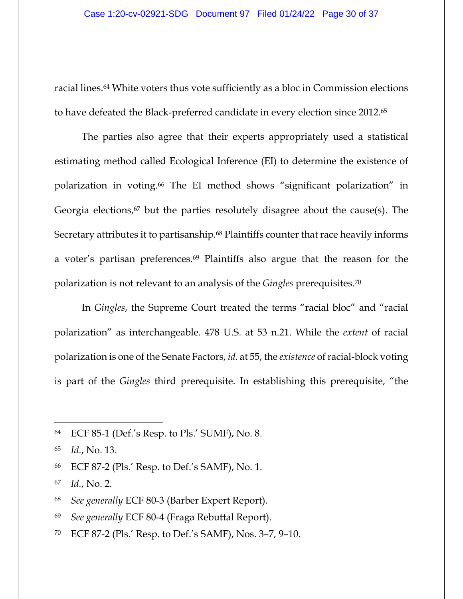racial lines.64 White voters thus vote sufficiently as a bloc in Commission elections to have defeated the Black-preferred candidate in every election since 2012.65

The parties also agree that their experts appropriately used a statistical estimating method called Ecological Inference (EI) to determine the existence of polarization in voting.66 The EI method shows "significant polarization" in Georgia elections, $67$  but the parties resolutely disagree about the cause(s). The Secretary attributes it to partisanship.<sup>68</sup> Plaintiffs counter that race heavily informs a voter's partisan preferences.69 Plaintiffs also argue that the reason for the polarization is not relevant to an analysis of the *Gingles* prerequisites.70

In *Gingles*, the Supreme Court treated the terms "racial bloc" and "racial polarization" as interchangeable. 478 U.S. at 53 n.21. While the *extent* of racial polarization is one of the Senate Factors, *id.* at 55, the *existence* of racial-block voting is part of the *Gingles* third prerequisite. In establishing this prerequisite, "the

70 ECF 87-2 (Pls.' Resp. to Def.'s SAMF), Nos. 3–7, 9–10.

<sup>64</sup> ECF 85-1 (Def.'s Resp. to Pls.' SUMF), No. 8.

<sup>65</sup> *Id.*, No. 13.

<sup>66</sup> ECF 87-2 (Pls.' Resp. to Def.'s SAMF), No. 1.

<sup>67</sup> *Id.*, No. 2.

<sup>68</sup> *See generally* ECF 80-3 (Barber Expert Report).

<sup>69</sup> *See generally* ECF 80-4 (Fraga Rebuttal Report).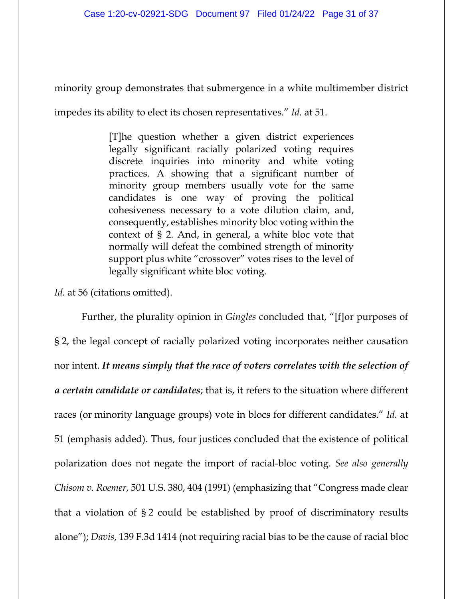minority group demonstrates that submergence in a white multimember district

impedes its ability to elect its chosen representatives." *Id.* at 51.

[T]he question whether a given district experiences legally significant racially polarized voting requires discrete inquiries into minority and white voting practices. A showing that a significant number of minority group members usually vote for the same candidates is one way of proving the political cohesiveness necessary to a vote dilution claim, and, consequently, establishes minority bloc voting within the context of § 2. And, in general, a white bloc vote that normally will defeat the combined strength of minority support plus white "crossover" votes rises to the level of legally significant white bloc voting.

Id. at 56 (citations omitted).

Further, the plurality opinion in *Gingles* concluded that, "[f]or purposes of § 2, the legal concept of racially polarized voting incorporates neither causation nor intent. *It means simply that the race of voters correlates with the selection of a certain candidate or candidates*; that is, it refers to the situation where different races (or minority language groups) vote in blocs for different candidates." *Id.* at 51 (emphasis added). Thus, four justices concluded that the existence of political polarization does not negate the import of racial-bloc voting. *See also generally Chisom v. Roemer*, 501 U.S. 380, 404 (1991) (emphasizing that "Congress made clear that a violation of § 2 could be established by proof of discriminatory results alone"); *Davis*, 139 F.3d 1414 (not requiring racial bias to be the cause of racial bloc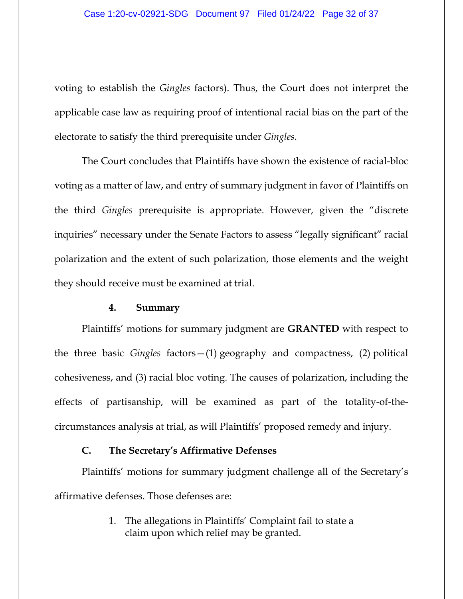voting to establish the *Gingles* factors). Thus, the Court does not interpret the applicable case law as requiring proof of intentional racial bias on the part of the electorate to satisfy the third prerequisite under *Gingles*.

The Court concludes that Plaintiffs have shown the existence of racial-bloc voting as a matter of law, and entry of summary judgment in favor of Plaintiffs on the third *Gingles* prerequisite is appropriate. However, given the "discrete inquiries" necessary under the Senate Factors to assess "legally significant" racial polarization and the extent of such polarization, those elements and the weight they should receive must be examined at trial.

### **4. Summary**

Plaintiffs' motions for summary judgment are **GRANTED** with respect to the three basic *Gingles* factors—(1) geography and compactness, (2) political cohesiveness, and (3) racial bloc voting. The causes of polarization, including the effects of partisanship, will be examined as part of the totality-of-thecircumstances analysis at trial, as will Plaintiffs' proposed remedy and injury.

### **C. The Secretary's Affirmative Defenses**

Plaintiffs' motions for summary judgment challenge all of the Secretary's affirmative defenses. Those defenses are:

> 1. The allegations in Plaintiffs' Complaint fail to state a claim upon which relief may be granted.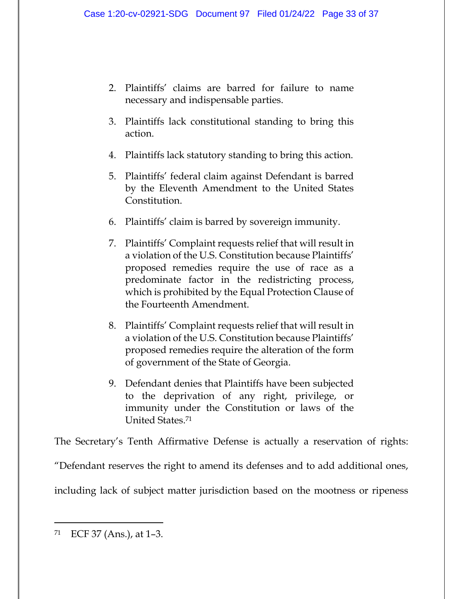- 2. Plaintiffs' claims are barred for failure to name necessary and indispensable parties.
- 3. Plaintiffs lack constitutional standing to bring this action.
- 4. Plaintiffs lack statutory standing to bring this action.
- 5. Plaintiffs' federal claim against Defendant is barred by the Eleventh Amendment to the United States Constitution.
- 6. Plaintiffs' claim is barred by sovereign immunity.
- 7. Plaintiffs' Complaint requests relief that will result in a violation of the U.S. Constitution because Plaintiffs' proposed remedies require the use of race as a predominate factor in the redistricting process, which is prohibited by the Equal Protection Clause of the Fourteenth Amendment.
- 8. Plaintiffs' Complaint requests relief that will result in a violation of the U.S. Constitution because Plaintiffs' proposed remedies require the alteration of the form of government of the State of Georgia.
- 9. Defendant denies that Plaintiffs have been subjected to the deprivation of any right, privilege, or immunity under the Constitution or laws of the United States.71

The Secretary's Tenth Affirmative Defense is actually a reservation of rights:

"Defendant reserves the right to amend its defenses and to add additional ones,

including lack of subject matter jurisdiction based on the mootness or ripeness

<sup>71</sup> ECF 37 (Ans.), at 1–3.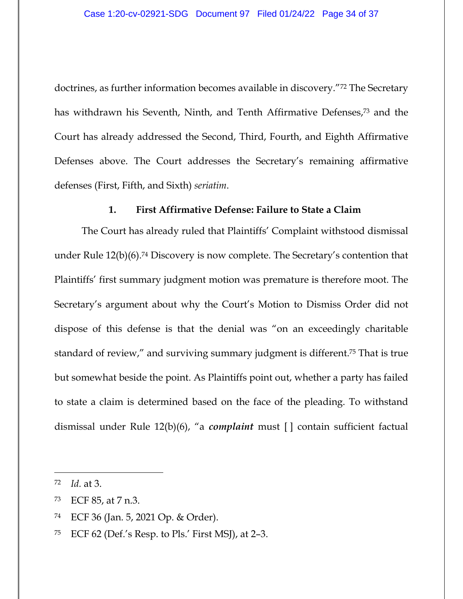doctrines, as further information becomes available in discovery."72 The Secretary has withdrawn his Seventh, Ninth, and Tenth Affirmative Defenses,73 and the Court has already addressed the Second, Third, Fourth, and Eighth Affirmative Defenses above. The Court addresses the Secretary's remaining affirmative defenses (First, Fifth, and Sixth) *seriatim*.

## **1. First Affirmative Defense: Failure to State a Claim**

The Court has already ruled that Plaintiffs' Complaint withstood dismissal under Rule 12(b)(6).74 Discovery is now complete. The Secretary's contention that Plaintiffs' first summary judgment motion was premature is therefore moot. The Secretary's argument about why the Court's Motion to Dismiss Order did not dispose of this defense is that the denial was "on an exceedingly charitable standard of review," and surviving summary judgment is different.75 That is true but somewhat beside the point. As Plaintiffs point out, whether a party has failed to state a claim is determined based on the face of the pleading. To withstand dismissal under Rule 12(b)(6), "a *complaint* must [ ] contain sufficient factual

<sup>72</sup> *Id.* at 3.

<sup>73</sup> ECF 85, at 7 n.3.

<sup>74</sup> ECF 36 (Jan. 5, 2021 Op. & Order).

<sup>&</sup>lt;sup>75</sup> ECF 62 (Def.'s Resp. to Pls.' First MSJ), at 2-3.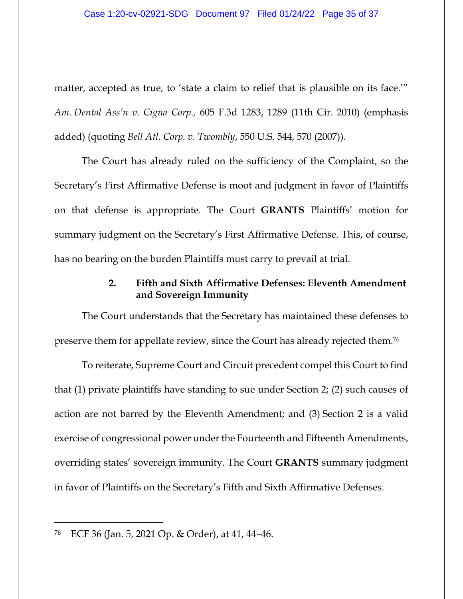matter, accepted as true, to 'state a claim to relief that is plausible on its face.'" *Am. Dental Ass'n v. Cigna Corp.,* 605 F.3d 1283, 1289 (11th Cir. 2010) (emphasis added) (quoting *Bell Atl. Corp. v. Twombly*, 550 U.S. 544, 570 (2007)).

The Court has already ruled on the sufficiency of the Complaint, so the Secretary's First Affirmative Defense is moot and judgment in favor of Plaintiffs on that defense is appropriate. The Court **GRANTS** Plaintiffs' motion for summary judgment on the Secretary's First Affirmative Defense. This, of course, has no bearing on the burden Plaintiffs must carry to prevail at trial.

# **2. Fifth and Sixth Affirmative Defenses: Eleventh Amendment and Sovereign Immunity**

The Court understands that the Secretary has maintained these defenses to preserve them for appellate review, since the Court has already rejected them.76

To reiterate, Supreme Court and Circuit precedent compel this Court to find that (1) private plaintiffs have standing to sue under Section 2; (2) such causes of action are not barred by the Eleventh Amendment; and (3) Section 2 is a valid exercise of congressional power under the Fourteenth and Fifteenth Amendments, overriding states' sovereign immunity. The Court **GRANTS** summary judgment in favor of Plaintiffs on the Secretary's Fifth and Sixth Affirmative Defenses.

<sup>76</sup> ECF 36 (Jan. 5, 2021 Op. & Order), at 41, 44–46.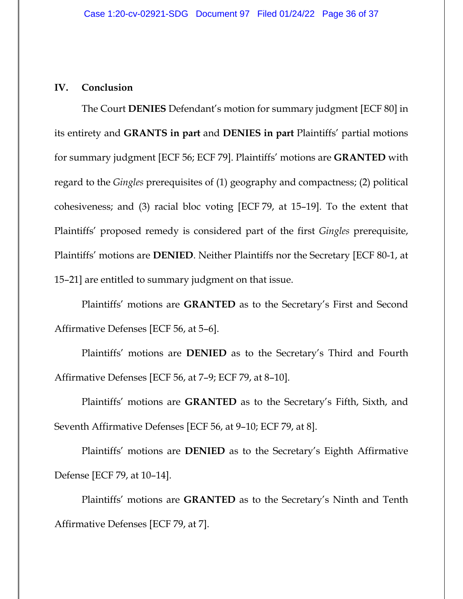### **IV. Conclusion**

The Court **DENIES** Defendant's motion for summary judgment [ECF 80] in its entirety and **GRANTS in part** and **DENIES in part** Plaintiffs' partial motions for summary judgment [ECF 56; ECF 79]. Plaintiffs' motions are **GRANTED** with regard to the *Gingles* prerequisites of (1) geography and compactness; (2) political cohesiveness; and (3) racial bloc voting [ECF 79, at 15–19]. To the extent that Plaintiffs' proposed remedy is considered part of the first *Gingles* prerequisite, Plaintiffs' motions are **DENIED**. Neither Plaintiffs nor the Secretary [ECF 80-1, at 15–21] are entitled to summary judgment on that issue.

Plaintiffs' motions are **GRANTED** as to the Secretary's First and Second Affirmative Defenses [ECF 56, at 5–6].

Plaintiffs' motions are **DENIED** as to the Secretary's Third and Fourth Affirmative Defenses [ECF 56, at 7–9; ECF 79, at 8–10].

Plaintiffs' motions are **GRANTED** as to the Secretary's Fifth, Sixth, and Seventh Affirmative Defenses [ECF 56, at 9–10; ECF 79, at 8].

Plaintiffs' motions are **DENIED** as to the Secretary's Eighth Affirmative Defense [ECF 79, at 10–14].

Plaintiffs' motions are **GRANTED** as to the Secretary's Ninth and Tenth Affirmative Defenses [ECF 79, at 7].